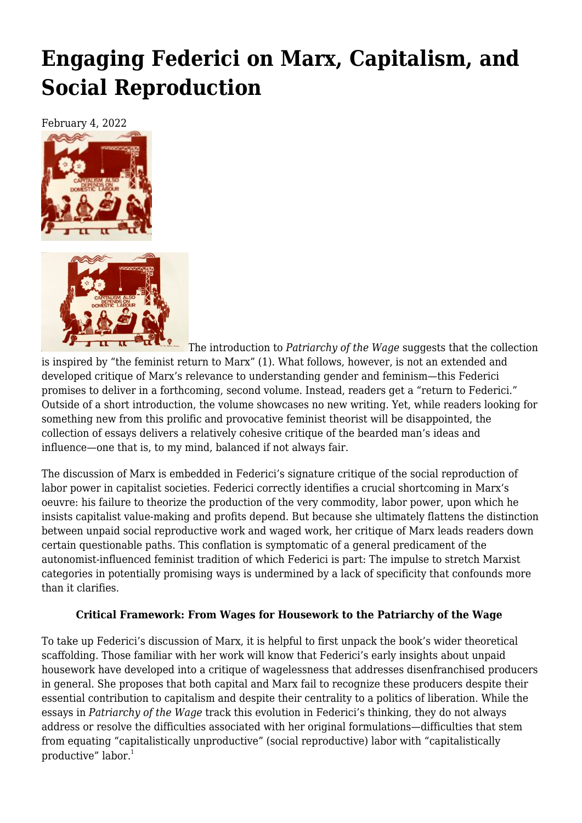## **[Engaging Federici on Marx, Capitalism, and](https://newpol.org/review/engaging-federici-on-marx-capitalism-and-social-reproduction/) [Social Reproduction](https://newpol.org/review/engaging-federici-on-marx-capitalism-and-social-reproduction/)**

February 4, 2022





The introduction to *Patriarchy of the Wage* suggests that the collection is inspired by "the feminist return to Marx" (1). What follows, however, is not an extended and developed critique of Marx's relevance to understanding gender and feminism—this Federici promises to deliver in a forthcoming, second volume. Instead, readers get a "return to Federici." Outside of a short introduction, the volume showcases no new writing. Yet, while readers looking for something new from this prolific and provocative feminist theorist will be disappointed, the collection of essays delivers a relatively cohesive critique of the bearded man's ideas and influence—one that is, to my mind, balanced if not always fair.

The discussion of Marx is embedded in Federici's signature critique of the social reproduction of labor power in capitalist societies. Federici correctly identifies a crucial shortcoming in Marx's oeuvre: his failure to theorize the production of the very commodity, labor power, upon which he insists capitalist value-making and profits depend. But because she ultimately flattens the distinction between unpaid social reproductive work and waged work, her critique of Marx leads readers down certain questionable paths. This conflation is symptomatic of a general predicament of the autonomist-influenced feminist tradition of which Federici is part: The impulse to stretch Marxist categories in potentially promising ways is undermined by a lack of specificity that confounds more than it clarifies.

## **Critical Framework: From Wages for Housework to the Patriarchy of the Wage**

To take up Federici's discussion of Marx, it is helpful to first unpack the book's wider theoretical scaffolding. Those familiar with her work will know that Federici's early insights about unpaid housework have developed into a critique of wagelessness that addresses disenfranchised producers in general. She proposes that both capital and Marx fail to recognize these producers despite their essential contribution to capitalism and despite their centrality to a politics of liberation. While the essays in *Patriarchy of the Wage* track this evolution in Federici's thinking, they do not always address or resolve the difficulties associated with her original formulations—difficulties that stem from equating "capitalistically unproductive" (social reproductive) labor with "capitalistically productive" labor.<sup>1</sup>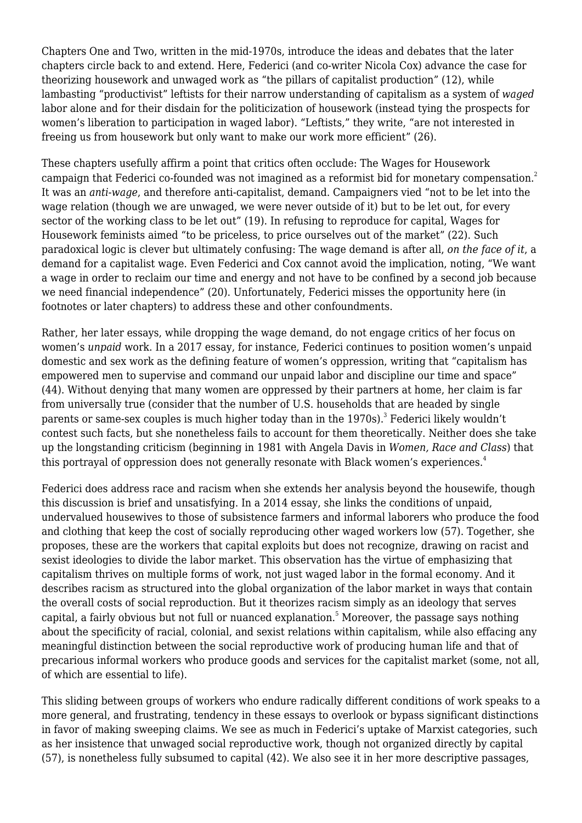Chapters One and Two, written in the mid-1970s, introduce the ideas and debates that the later chapters circle back to and extend. Here, Federici (and co-writer Nicola Cox) advance the case for theorizing housework and unwaged work as "the pillars of capitalist production" (12), while lambasting "productivist" leftists for their narrow understanding of capitalism as a system of *waged* labor alone and for their disdain for the politicization of housework (instead tying the prospects for women's liberation to participation in waged labor). "Leftists," they write, "are not interested in freeing us from housework but only want to make our work more efficient" (26).

These chapters usefully affirm a point that critics often occlude: The Wages for Housework campaign that Federici co-founded was not imagined as a reformist bid for monetary compensation.<sup>2</sup> It was an *anti-wage*, and therefore anti-capitalist, demand. Campaigners vied "not to be let into the wage relation (though we are unwaged, we were never outside of it) but to be let out, for every sector of the working class to be let out" (19). In refusing to reproduce for capital, Wages for Housework feminists aimed "to be priceless, to price ourselves out of the market" (22). Such paradoxical logic is clever but ultimately confusing: The wage demand is after all, *on the face of it*, a demand for a capitalist wage. Even Federici and Cox cannot avoid the implication, noting, "We want a wage in order to reclaim our time and energy and not have to be confined by a second job because we need financial independence" (20). Unfortunately, Federici misses the opportunity here (in footnotes or later chapters) to address these and other confoundments.

Rather, her later essays, while dropping the wage demand, do not engage critics of her focus on women's *unpaid* work. In a 2017 essay, for instance, Federici continues to position women's unpaid domestic and sex work as the defining feature of women's oppression, writing that "capitalism has empowered men to supervise and command our unpaid labor and discipline our time and space" (44). Without denying that many women are oppressed by their partners at home, her claim is far from universally true (consider that the number of U.S. households that are headed by single parents or same-sex couples is much higher today than in the 1970s). $^3$  Federici likely wouldn't contest such facts, but she nonetheless fails to account for them theoretically. Neither does she take up the longstanding criticism (beginning in 1981 with Angela Davis in *Women, Race and Class*) that this portrayal of oppression does not generally resonate with Black women's experiences.<sup>4</sup>

Federici does address race and racism when she extends her analysis beyond the housewife, though this discussion is brief and unsatisfying. In a 2014 essay, she links the conditions of unpaid, undervalued housewives to those of subsistence farmers and informal laborers who produce the food and clothing that keep the cost of socially reproducing other waged workers low (57). Together, she proposes, these are the workers that capital exploits but does not recognize, drawing on racist and sexist ideologies to divide the labor market. This observation has the virtue of emphasizing that capitalism thrives on multiple forms of work, not just waged labor in the formal economy. And it describes racism as structured into the global organization of the labor market in ways that contain the overall costs of social reproduction. But it theorizes racism simply as an ideology that serves capital, a fairly obvious but not full or nuanced explanation.<sup>5</sup> Moreover, the passage says nothing about the specificity of racial, colonial, and sexist relations within capitalism, while also effacing any meaningful distinction between the social reproductive work of producing human life and that of precarious informal workers who produce goods and services for the capitalist market (some, not all, of which are essential to life).

This sliding between groups of workers who endure radically different conditions of work speaks to a more general, and frustrating, tendency in these essays to overlook or bypass significant distinctions in favor of making sweeping claims. We see as much in Federici's uptake of Marxist categories, such as her insistence that unwaged social reproductive work, though not organized directly by capital (57), is nonetheless fully subsumed to capital (42). We also see it in her more descriptive passages,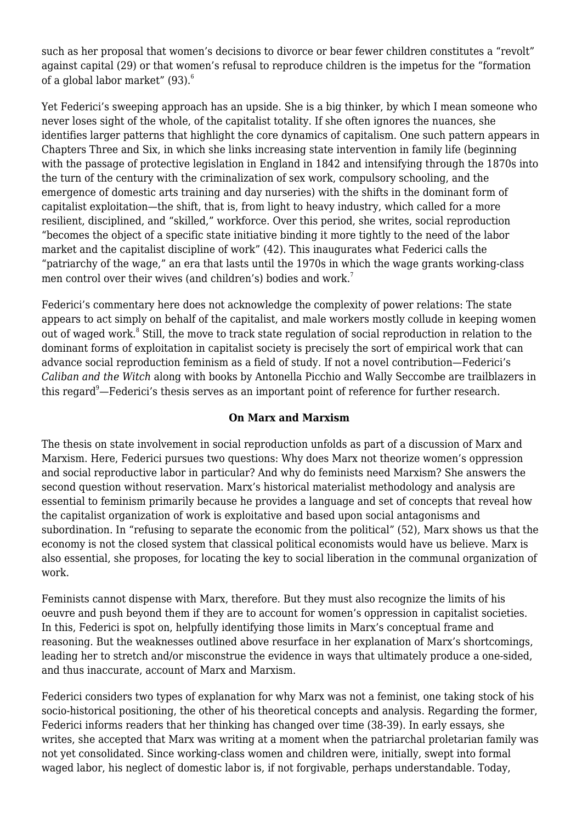such as her proposal that women's decisions to divorce or bear fewer children constitutes a "revolt" against capital (29) or that women's refusal to reproduce children is the impetus for the "formation of a global labor market" (93).<sup>6</sup>

Yet Federici's sweeping approach has an upside. She is a big thinker, by which I mean someone who never loses sight of the whole, of the capitalist totality. If she often ignores the nuances, she identifies larger patterns that highlight the core dynamics of capitalism. One such pattern appears in Chapters Three and Six, in which she links increasing state intervention in family life (beginning with the passage of protective legislation in England in 1842 and intensifying through the 1870s into the turn of the century with the criminalization of sex work, compulsory schooling, and the emergence of domestic arts training and day nurseries) with the shifts in the dominant form of capitalist exploitation—the shift, that is, from light to heavy industry, which called for a more resilient, disciplined, and "skilled," workforce. Over this period, she writes, social reproduction "becomes the object of a specific state initiative binding it more tightly to the need of the labor market and the capitalist discipline of work" (42). This inaugurates what Federici calls the "patriarchy of the wage," an era that lasts until the 1970s in which the wage grants working-class men control over their wives (and children's) bodies and work.<sup>7</sup>

Federici's commentary here does not acknowledge the complexity of power relations: The state appears to act simply on behalf of the capitalist, and male workers mostly collude in keeping women out of waged work.<sup>8</sup> Still, the move to track state regulation of social reproduction in relation to the dominant forms of exploitation in capitalist society is precisely the sort of empirical work that can advance social reproduction feminism as a field of study. If not a novel contribution—Federici's *Caliban and the Witch* along with books by Antonella Picchio and Wally Seccombe are trailblazers in this regard<sup>9</sup>—Federici's thesis serves as an important point of reference for further research.

## **On Marx and Marxism**

The thesis on state involvement in social reproduction unfolds as part of a discussion of Marx and Marxism. Here, Federici pursues two questions: Why does Marx not theorize women's oppression and social reproductive labor in particular? And why do feminists need Marxism? She answers the second question without reservation. Marx's historical materialist methodology and analysis are essential to feminism primarily because he provides a language and set of concepts that reveal how the capitalist organization of work is exploitative and based upon social antagonisms and subordination. In "refusing to separate the economic from the political" (52), Marx shows us that the economy is not the closed system that classical political economists would have us believe. Marx is also essential, she proposes, for locating the key to social liberation in the communal organization of work.

Feminists cannot dispense with Marx, therefore. But they must also recognize the limits of his oeuvre and push beyond them if they are to account for women's oppression in capitalist societies. In this, Federici is spot on, helpfully identifying those limits in Marx's conceptual frame and reasoning. But the weaknesses outlined above resurface in her explanation of Marx's shortcomings, leading her to stretch and/or misconstrue the evidence in ways that ultimately produce a one-sided, and thus inaccurate, account of Marx and Marxism.

Federici considers two types of explanation for why Marx was not a feminist, one taking stock of his socio-historical positioning, the other of his theoretical concepts and analysis. Regarding the former, Federici informs readers that her thinking has changed over time (38-39). In early essays, she writes, she accepted that Marx was writing at a moment when the patriarchal proletarian family was not yet consolidated. Since working-class women and children were, initially, swept into formal waged labor, his neglect of domestic labor is, if not forgivable, perhaps understandable. Today,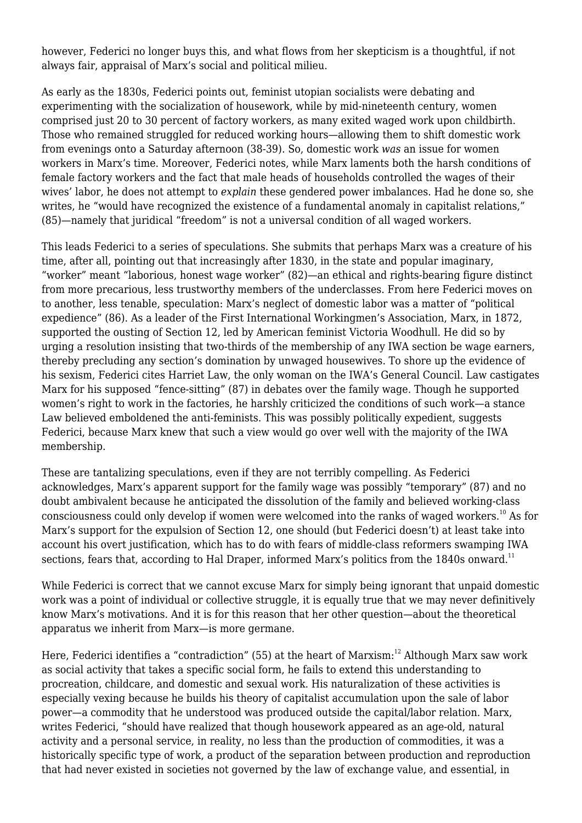however, Federici no longer buys this, and what flows from her skepticism is a thoughtful, if not always fair, appraisal of Marx's social and political milieu.

As early as the 1830s, Federici points out, feminist utopian socialists were debating and experimenting with the socialization of housework, while by mid-nineteenth century, women comprised just 20 to 30 percent of factory workers, as many exited waged work upon childbirth. Those who remained struggled for reduced working hours—allowing them to shift domestic work from evenings onto a Saturday afternoon (38-39). So, domestic work *was* an issue for women workers in Marx's time. Moreover, Federici notes, while Marx laments both the harsh conditions of female factory workers and the fact that male heads of households controlled the wages of their wives' labor, he does not attempt to *explain* these gendered power imbalances. Had he done so, she writes, he "would have recognized the existence of a fundamental anomaly in capitalist relations," (85)—namely that juridical "freedom" is not a universal condition of all waged workers.

This leads Federici to a series of speculations. She submits that perhaps Marx was a creature of his time, after all, pointing out that increasingly after 1830, in the state and popular imaginary, "worker" meant "laborious, honest wage worker" (82)—an ethical and rights-bearing figure distinct from more precarious, less trustworthy members of the underclasses. From here Federici moves on to another, less tenable, speculation: Marx's neglect of domestic labor was a matter of "political expedience" (86). As a leader of the First International Workingmen's Association, Marx, in 1872, supported the ousting of Section 12, led by American feminist Victoria Woodhull. He did so by urging a resolution insisting that two-thirds of the membership of any IWA section be wage earners, thereby precluding any section's domination by unwaged housewives. To shore up the evidence of his sexism, Federici cites Harriet Law, the only woman on the IWA's General Council. Law castigates Marx for his supposed "fence-sitting" (87) in debates over the family wage. Though he supported women's right to work in the factories, he harshly criticized the conditions of such work—a stance Law believed emboldened the anti-feminists. This was possibly politically expedient, suggests Federici, because Marx knew that such a view would go over well with the majority of the IWA membership.

These are tantalizing speculations, even if they are not terribly compelling. As Federici acknowledges, Marx's apparent support for the family wage was possibly "temporary" (87) and no doubt ambivalent because he anticipated the dissolution of the family and believed working-class consciousness could only develop if women were welcomed into the ranks of waged workers.<sup>10</sup> As for Marx's support for the expulsion of Section 12, one should (but Federici doesn't) at least take into account his overt justification, which has to do with fears of middle-class reformers swamping IWA sections, fears that, according to Hal Draper, informed Marx's politics from the 1840s onward.<sup>11</sup>

While Federici is correct that we cannot excuse Marx for simply being ignorant that unpaid domestic work was a point of individual or collective struggle, it is equally true that we may never definitively know Marx's motivations. And it is for this reason that her other question—about the theoretical apparatus we inherit from Marx—is more germane.

Here, Federici identifies a "contradiction" (55) at the heart of Marxism:<sup>12</sup> Although Marx saw work as social activity that takes a specific social form, he fails to extend this understanding to procreation, childcare, and domestic and sexual work. His naturalization of these activities is especially vexing because he builds his theory of capitalist accumulation upon the sale of labor power—a commodity that he understood was produced outside the capital/labor relation. Marx, writes Federici, "should have realized that though housework appeared as an age-old, natural activity and a personal service, in reality, no less than the production of commodities, it was a historically specific type of work, a product of the separation between production and reproduction that had never existed in societies not governed by the law of exchange value, and essential, in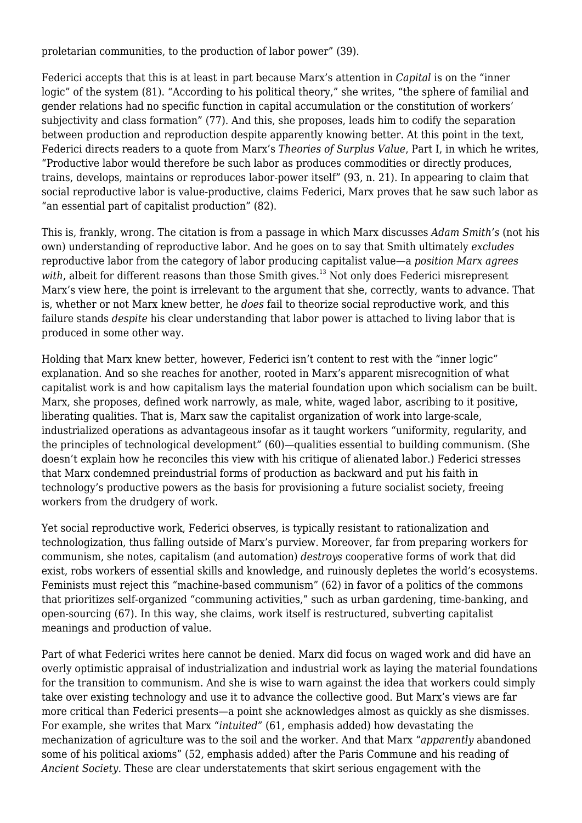proletarian communities, to the production of labor power" (39).

Federici accepts that this is at least in part because Marx's attention in *Capital* is on the "inner logic" of the system (81). "According to his political theory," she writes, "the sphere of familial and gender relations had no specific function in capital accumulation or the constitution of workers' subjectivity and class formation" (77). And this, she proposes, leads him to codify the separation between production and reproduction despite apparently knowing better. At this point in the text, Federici directs readers to a quote from Marx's *Theories of Surplus Value*, Part I, in which he writes, "Productive labor would therefore be such labor as produces commodities or directly produces, trains, develops, maintains or reproduces labor-power itself" (93, n. 21). In appearing to claim that social reproductive labor is value-productive, claims Federici, Marx proves that he saw such labor as "an essential part of capitalist production" (82).

This is, frankly, wrong. The citation is from a passage in which Marx discusses *Adam Smith's* (not his own) understanding of reproductive labor. And he goes on to say that Smith ultimately *excludes* reproductive labor from the category of labor producing capitalist value—a *position Marx agrees* with, albeit for different reasons than those Smith gives.<sup>13</sup> Not only does Federici misrepresent Marx's view here, the point is irrelevant to the argument that she, correctly, wants to advance. That is, whether or not Marx knew better, he *does* fail to theorize social reproductive work, and this failure stands *despite* his clear understanding that labor power is attached to living labor that is produced in some other way.

Holding that Marx knew better, however, Federici isn't content to rest with the "inner logic" explanation. And so she reaches for another, rooted in Marx's apparent misrecognition of what capitalist work is and how capitalism lays the material foundation upon which socialism can be built. Marx, she proposes, defined work narrowly, as male, white, waged labor, ascribing to it positive, liberating qualities. That is, Marx saw the capitalist organization of work into large-scale, industrialized operations as advantageous insofar as it taught workers "uniformity, regularity, and the principles of technological development" (60)—qualities essential to building communism. (She doesn't explain how he reconciles this view with his critique of alienated labor.) Federici stresses that Marx condemned preindustrial forms of production as backward and put his faith in technology's productive powers as the basis for provisioning a future socialist society, freeing workers from the drudgery of work.

Yet social reproductive work, Federici observes, is typically resistant to rationalization and technologization, thus falling outside of Marx's purview. Moreover, far from preparing workers for communism, she notes, capitalism (and automation) *destroys* cooperative forms of work that did exist, robs workers of essential skills and knowledge, and ruinously depletes the world's ecosystems. Feminists must reject this "machine-based communism" (62) in favor of a politics of the commons that prioritizes self-organized "communing activities," such as urban gardening, time-banking, and open-sourcing (67). In this way, she claims, work itself is restructured, subverting capitalist meanings and production of value.

Part of what Federici writes here cannot be denied. Marx did focus on waged work and did have an overly optimistic appraisal of industrialization and industrial work as laying the material foundations for the transition to communism. And she is wise to warn against the idea that workers could simply take over existing technology and use it to advance the collective good. But Marx's views are far more critical than Federici presents—a point she acknowledges almost as quickly as she dismisses. For example, she writes that Marx "*intuited*" (61, emphasis added) how devastating the mechanization of agriculture was to the soil and the worker. And that Marx "*apparently* abandoned some of his political axioms" (52, emphasis added) after the Paris Commune and his reading of *Ancient Society*. These are clear understatements that skirt serious engagement with the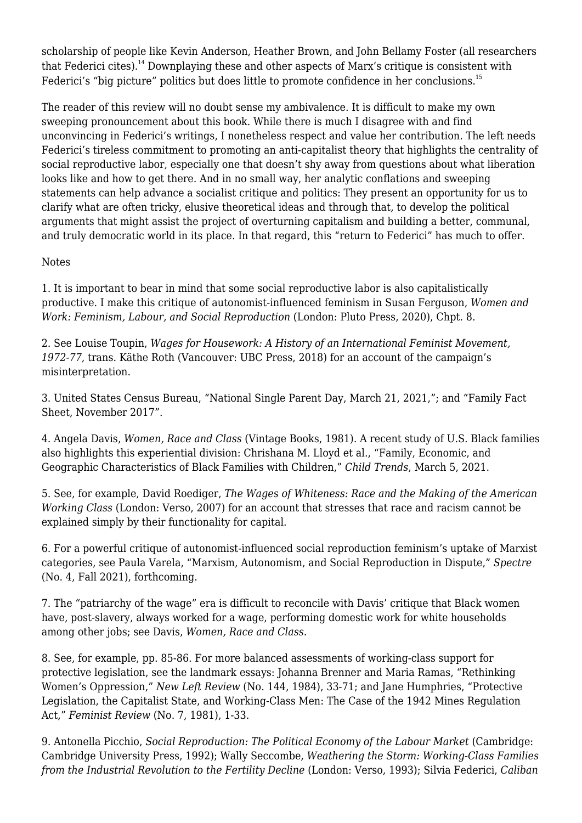scholarship of people like Kevin Anderson, Heather Brown, and John Bellamy Foster (all researchers that Federici cites).<sup>14</sup> Downplaying these and other aspects of Marx's critique is consistent with Federici's "big picture" politics but does little to promote confidence in her conclusions.<sup>15</sup>

The reader of this review will no doubt sense my ambivalence. It is difficult to make my own sweeping pronouncement about this book. While there is much I disagree with and find unconvincing in Federici's writings, I nonetheless respect and value her contribution. The left needs Federici's tireless commitment to promoting an anti-capitalist theory that highlights the centrality of social reproductive labor, especially one that doesn't shy away from questions about what liberation looks like and how to get there. And in no small way, her analytic conflations and sweeping statements can help advance a socialist critique and politics: They present an opportunity for us to clarify what are often tricky, elusive theoretical ideas and through that, to develop the political arguments that might assist the project of overturning capitalism and building a better, communal, and truly democratic world in its place. In that regard, this "return to Federici" has much to offer.

## Notes

1. It is important to bear in mind that some social reproductive labor is also capitalistically productive. I make this critique of autonomist-influenced feminism in Susan Ferguson, *Women and Work: Feminism, Labour, and Social Reproduction* (London: Pluto Press, 2020), Chpt. 8.

2. See Louise Toupin, *Wages for Housework: A History of an International Feminist Movement, 1972-77*, trans. Käthe Roth (Vancouver: UBC Press, 2018) for an account of the campaign's misinterpretation.

3. United States Census Bureau, ["National Single Parent Day, March 21, 2021,](http://www.census.gov/newsroom/stories/single-parent-day.html)"; and ["Family Fact](http://www2.census.gov/cac/nac/meetings/2017-11/LGBTQ-families-factsheet.pdf) [Sheet, November 2017](http://www2.census.gov/cac/nac/meetings/2017-11/LGBTQ-families-factsheet.pdf)".

4. Angela Davis, *Women, Race and Class* (Vintage Books, 1981). A recent study of U.S. Black families also highlights this experiential division: Chrishana M. Lloyd et al., "[Family, Economic, and](http://www.childtrends.org/publications/family-economic-and-geographic-characteristics-of-black-families-with-children) [Geographic Characteristics of Black Families with Children,"](http://www.childtrends.org/publications/family-economic-and-geographic-characteristics-of-black-families-with-children) *Child Trends*, March 5, 2021.

5. See, for example, David Roediger, *The Wages of Whiteness: Race and the Making of the American Working Class* (London: Verso, 2007) for an account that stresses that race and racism cannot be explained simply by their functionality for capital.

6. For a powerful critique of autonomist-influenced social reproduction feminism's uptake of Marxist categories, see Paula Varela, "Marxism, Autonomism, and Social Reproduction in Dispute," *Spectre* (No. 4, Fall 2021), forthcoming.

7. The "patriarchy of the wage" era is difficult to reconcile with Davis' critique that Black women have, post-slavery, always worked for a wage, performing domestic work for white households among other jobs; see Davis, *Women, Race and Class*.

8. See, for example, pp. 85-86. For more balanced assessments of working-class support for protective legislation, see the landmark essays: Johanna Brenner and Maria Ramas, "Rethinking Women's Oppression," *New Left Review* (No. 144, 1984), 33-71; and Jane Humphries, "Protective Legislation, the Capitalist State, and Working-Class Men: The Case of the 1942 Mines Regulation Act," *Feminist Review* (No. 7, 1981), 1-33.

9. Antonella Picchio, *Social Reproduction: The Political Economy of the Labour Market* (Cambridge: Cambridge University Press, 1992); Wally Seccombe, *Weathering the Storm: Working-Class Families from the Industrial Revolution to the Fertility Decline* (London: Verso, 1993); Silvia Federici, *Caliban*